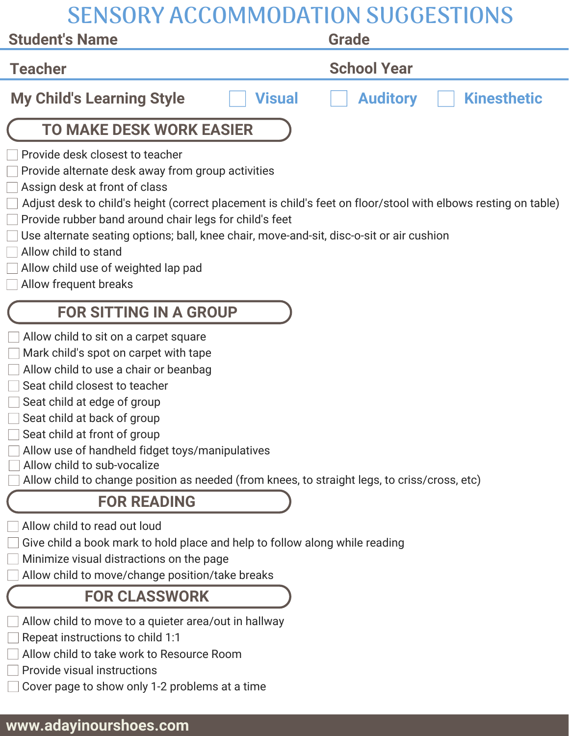| <b>SENSORY ACCOMMODATION SUGGESTIONS</b>                                                                                                                                                                                                                                                                                                                                                                                                                                             |                                       |
|--------------------------------------------------------------------------------------------------------------------------------------------------------------------------------------------------------------------------------------------------------------------------------------------------------------------------------------------------------------------------------------------------------------------------------------------------------------------------------------|---------------------------------------|
| <b>Student's Name</b>                                                                                                                                                                                                                                                                                                                                                                                                                                                                | <b>Grade</b>                          |
| <b>Teacher</b>                                                                                                                                                                                                                                                                                                                                                                                                                                                                       | <b>School Year</b>                    |
| <b>My Child's Learning Style</b><br><b>Visual</b>                                                                                                                                                                                                                                                                                                                                                                                                                                    | <b>Auditory</b><br><b>Kinesthetic</b> |
| <b>TO MAKE DESK WORK EASIER</b>                                                                                                                                                                                                                                                                                                                                                                                                                                                      |                                       |
| Provide desk closest to teacher<br>Provide alternate desk away from group activities<br>Assign desk at front of class<br>Adjust desk to child's height (correct placement is child's feet on floor/stool with elbows resting on table)<br>Provide rubber band around chair legs for child's feet<br>Use alternate seating options; ball, knee chair, move-and-sit, disc-o-sit or air cushion<br>Allow child to stand<br>Allow child use of weighted lap pad<br>Allow frequent breaks |                                       |
| <b>FOR SITTING IN A GROUP</b>                                                                                                                                                                                                                                                                                                                                                                                                                                                        |                                       |
| Allow child to sit on a carpet square<br>Mark child's spot on carpet with tape<br>Allow child to use a chair or beanbag<br>Seat child closest to teacher<br>Seat child at edge of group<br>Seat child at back of group<br>Seat child at front of group<br>Allow use of handheld fidget toys/manipulatives<br>Allow child to sub-vocalize<br>Allow child to change position as needed (from knees, to straight legs, to criss/cross, etc)                                             |                                       |
| <b>FOR READING</b>                                                                                                                                                                                                                                                                                                                                                                                                                                                                   |                                       |
| Allow child to read out loud<br>Give child a book mark to hold place and help to follow along while reading<br>Minimize visual distractions on the page<br>Allow child to move/change position/take breaks                                                                                                                                                                                                                                                                           |                                       |
| <b>FOR CLASSWORK</b>                                                                                                                                                                                                                                                                                                                                                                                                                                                                 |                                       |
| Allow child to move to a quieter area/out in hallway<br>Repeat instructions to child 1:1                                                                                                                                                                                                                                                                                                                                                                                             |                                       |

- Allow child to take work to Resource Room
- $\Box$  Provide visual instructions
- $\Box$  Cover page to show only 1-2 problems at a time

## **www.adayinourshoes.com**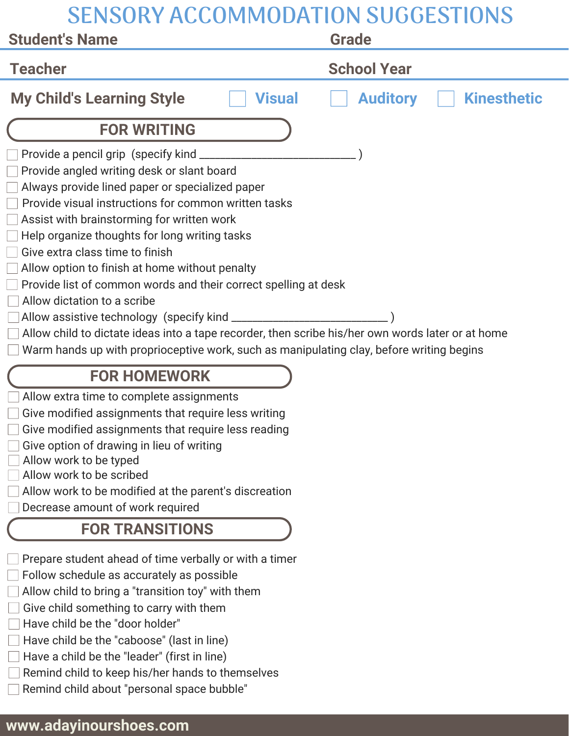| <b>SENSORY ACCOMMODATION SUGGESTIONS</b>                                                                                                                                                                                                                                                                                                                                                                                                                                                                                                                                                                                                                                                     |                                       |
|----------------------------------------------------------------------------------------------------------------------------------------------------------------------------------------------------------------------------------------------------------------------------------------------------------------------------------------------------------------------------------------------------------------------------------------------------------------------------------------------------------------------------------------------------------------------------------------------------------------------------------------------------------------------------------------------|---------------------------------------|
| <b>Student's Name</b>                                                                                                                                                                                                                                                                                                                                                                                                                                                                                                                                                                                                                                                                        | <b>Grade</b>                          |
| <b>Teacher</b>                                                                                                                                                                                                                                                                                                                                                                                                                                                                                                                                                                                                                                                                               | <b>School Year</b>                    |
| <b>My Child's Learning Style</b><br><b>Visual</b>                                                                                                                                                                                                                                                                                                                                                                                                                                                                                                                                                                                                                                            | <b>Auditory</b><br><b>Kinesthetic</b> |
| <b>FOR WRITING</b>                                                                                                                                                                                                                                                                                                                                                                                                                                                                                                                                                                                                                                                                           |                                       |
| Provide a pencil grip (specify kind ________<br>Provide angled writing desk or slant board<br>Always provide lined paper or specialized paper<br>Provide visual instructions for common written tasks<br>Assist with brainstorming for written work<br>Help organize thoughts for long writing tasks<br>Give extra class time to finish<br>Allow option to finish at home without penalty<br>Provide list of common words and their correct spelling at desk<br>Allow dictation to a scribe<br>Allow child to dictate ideas into a tape recorder, then scribe his/her own words later or at home<br>Warm hands up with proprioceptive work, such as manipulating clay, before writing begins |                                       |
| <b>FOR HOMEWORK</b>                                                                                                                                                                                                                                                                                                                                                                                                                                                                                                                                                                                                                                                                          |                                       |
| Allow extra time to complete assignments<br>Give modified assignments that require less writing<br>Give modified assignments that require less reading<br>Give option of drawing in lieu of writing<br>Allow work to be typed<br>Allow work to be scribed<br>Allow work to be modified at the parent's discreation<br>Decrease amount of work required                                                                                                                                                                                                                                                                                                                                       |                                       |
| <b>FOR TRANSITIONS</b>                                                                                                                                                                                                                                                                                                                                                                                                                                                                                                                                                                                                                                                                       |                                       |
| Prepare student ahead of time verbally or with a timer<br>Follow schedule as accurately as possible<br>Allow child to bring a "transition toy" with them<br>Give child something to carry with them<br>Have child be the "door holder"<br>Have child be the "caboose" (last in line)                                                                                                                                                                                                                                                                                                                                                                                                         |                                       |

- Have a child be the "leader" (first in line)
- $\Box$  Remind child to keep his/her hands to themselves
- Remind child about "personal space bubble"

## **www.adayinourshoes.com**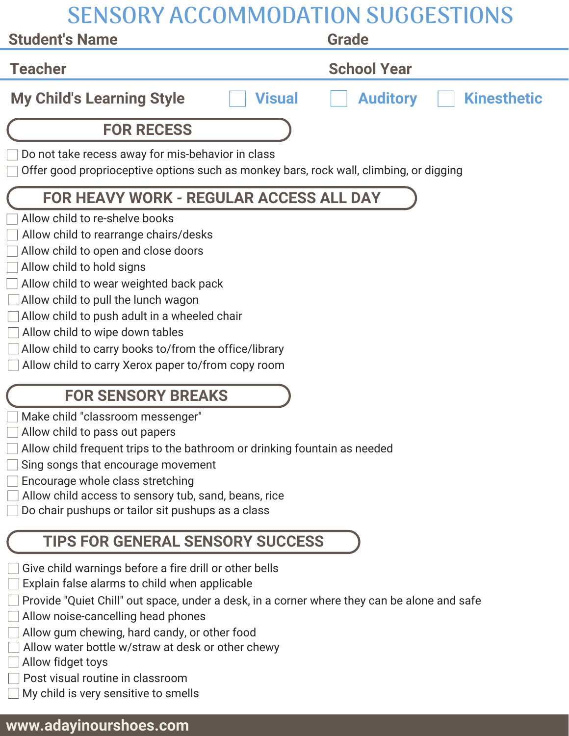| <b>SENSORY ACCOMMODATION SUGGESTIONS</b>                                                                                                                                                                                                                                                                                                                                                                                       |                                       |  |
|--------------------------------------------------------------------------------------------------------------------------------------------------------------------------------------------------------------------------------------------------------------------------------------------------------------------------------------------------------------------------------------------------------------------------------|---------------------------------------|--|
| <b>Student's Name</b>                                                                                                                                                                                                                                                                                                                                                                                                          | <b>Grade</b>                          |  |
| <b>Teacher</b>                                                                                                                                                                                                                                                                                                                                                                                                                 | <b>School Year</b>                    |  |
| <b>My Child's Learning Style</b><br><b>Visual</b>                                                                                                                                                                                                                                                                                                                                                                              | <b>Kinesthetic</b><br><b>Auditory</b> |  |
| <b>FOR RECESS</b>                                                                                                                                                                                                                                                                                                                                                                                                              |                                       |  |
| Do not take recess away for mis-behavior in class<br>Offer good proprioceptive options such as monkey bars, rock wall, climbing, or digging                                                                                                                                                                                                                                                                                    |                                       |  |
| <b>FOR HEAVY WORK - REGULAR ACCESS ALL DAY</b>                                                                                                                                                                                                                                                                                                                                                                                 |                                       |  |
| Allow child to re-shelve books<br>Allow child to rearrange chairs/desks<br>Allow child to open and close doors<br>Allow child to hold signs<br>Allow child to wear weighted back pack<br>Allow child to pull the lunch wagon<br>Allow child to push adult in a wheeled chair<br>Allow child to wipe down tables<br>Allow child to carry books to/from the office/library<br>Allow child to carry Xerox paper to/from copy room |                                       |  |
| <b>FOR SENSORY BREAKS</b>                                                                                                                                                                                                                                                                                                                                                                                                      |                                       |  |
| Make child "classroom messenger"<br>Allow child to pass out papers<br>Allow child frequent trips to the bathroom or drinking fountain as needed<br>Sing songs that encourage movement<br>Encourage whole class stretching<br>Allow child access to sensory tub, sand, beans, rice<br>Do chair pushups or tailor sit pushups as a class                                                                                         |                                       |  |
| <b>TIPS FOR GENERAL SENSORY SUCCESS</b>                                                                                                                                                                                                                                                                                                                                                                                        |                                       |  |
| Give child warnings before a fire drill or other bells                                                                                                                                                                                                                                                                                                                                                                         |                                       |  |

- Explain false alarms to child when applicable
- Provide "Quiet Chill" out space, under a desk, in a corner where they can be alone and safe
- Allow noise-cancelling head phones
- Allow gum chewing, hard candy, or other food
- Allow water bottle w/straw at desk or other chewy
- Allow fidget toys
- **Post visual routine in classroom**
- My child is very sensitive to smells

## **www.adayinourshoes.com**